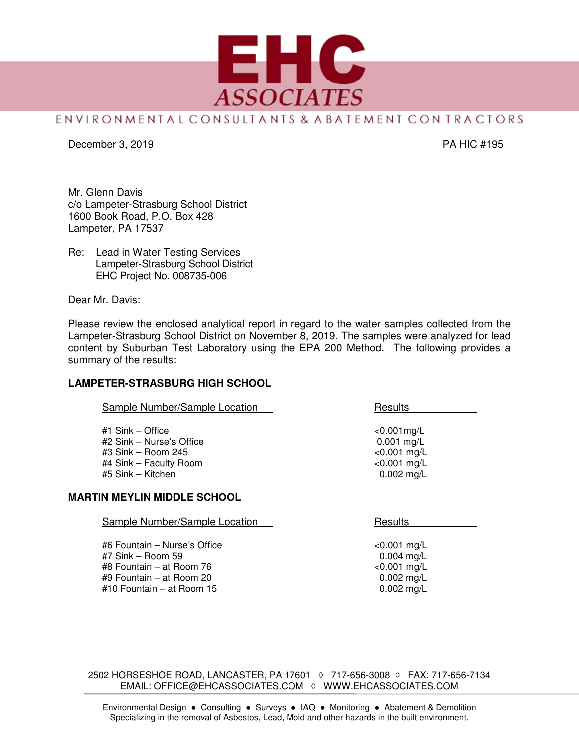

# ENVIRONMENTAL CONSULTANTS & ABATEMENT CON TRACTORS

December 3, 2019 PA HIC #195

Mr. Glenn Davis c/o Lampeter-Strasburg School District 1600 Book Road, P.O. Box 428 Lampeter, PA 17537

Re: Lead in Water Testing Services Lampeter-Strasburg School District EHC Project No. 008735-006

Dear Mr. Davis:

Please review the enclosed analytical report in regard to the water samples collected from the Lampeter-Strasburg School District on November 8, 2019. The samples were analyzed for lead content by Suburban Test Laboratory using the EPA 200 Method. The following provides a summary of the results:

#### **LAMPETER-STRASBURG HIGH SCHOOL**

| Sample Number/Sample Location | Results        |
|-------------------------------|----------------|
| #1 $Sink - Office$            | $< 0.001$ mg/L |
| #2 Sink - Nurse's Office      | $0.001$ mg/L   |
| $\#3$ Sink – Room 245         | $< 0.001$ mg/L |
| #4 Sink – Faculty Room        | $< 0.001$ mg/L |
| #5 Sink - Kitchen             | $0.002$ mg/L   |

#### **MARTIN MEYLIN MIDDLE SCHOOL**

| RTIN MEYLIN MIDDLE SCHOOL                           |                                |
|-----------------------------------------------------|--------------------------------|
| Sample Number/Sample Location                       | Results                        |
| #6 Fountain - Nurse's Office<br>$#7$ Sink – Room 59 | $< 0.001$ mg/L<br>$0.004$ mg/L |

#8 Fountain – at Room 76 <0.001 mg/L #9 Fountain – at Room 20 0.002 mg/L #10 Fountain – at Room  $15$ 

2502 HORSESHOE ROAD, LANCASTER, PA 17601 ◊ 717-656-3008 ◊ FAX: 717-656-7134 EMAIL: OFFICE@EHCASSOCIATES.COM ◊ WWW.EHCASSOCIATES.COM